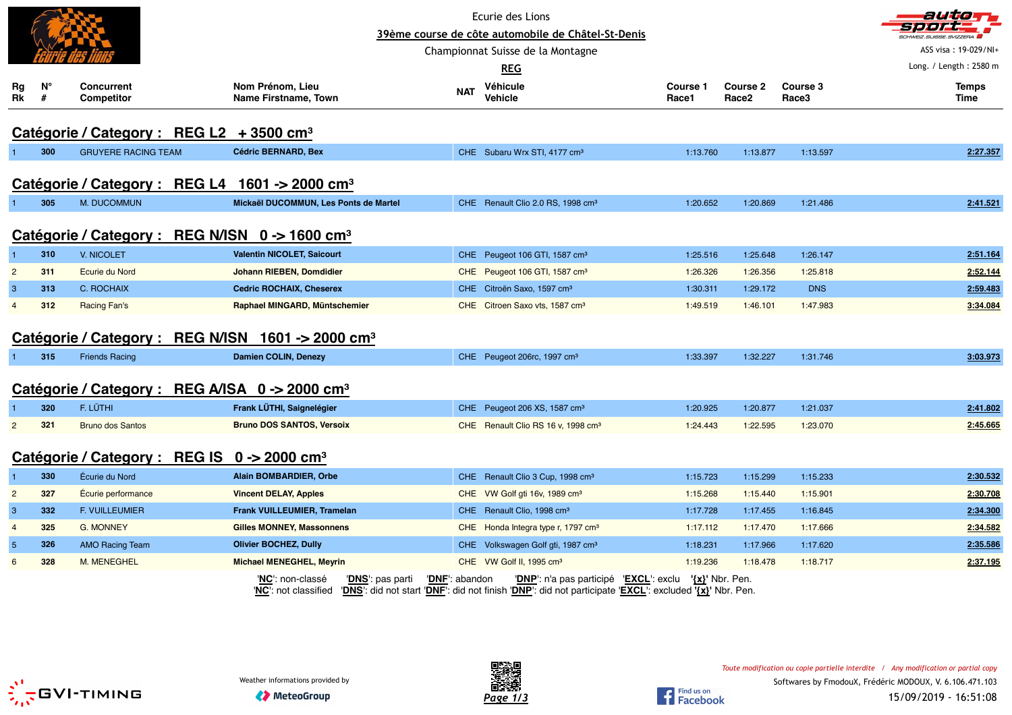|                |                  |                                                               |                                                              |                | Ecurie des Lions                                                                                                                                                 |                          |                          |                   | autom                  |
|----------------|------------------|---------------------------------------------------------------|--------------------------------------------------------------|----------------|------------------------------------------------------------------------------------------------------------------------------------------------------------------|--------------------------|--------------------------|-------------------|------------------------|
|                |                  |                                                               |                                                              |                | 39ème course de côte automobile de Châtel-St-Denis                                                                                                               |                          |                          |                   |                        |
|                |                  |                                                               |                                                              |                | Championnat Suisse de la Montagne                                                                                                                                |                          |                          |                   | ASS visa: 19-029/NI+   |
|                |                  |                                                               |                                                              |                | <b>REG</b>                                                                                                                                                       |                          |                          |                   | Long. / Length: 2580 m |
| Rg<br>Rk       | $N^{\circ}$<br># | <b>Concurrent</b><br><b>Competitor</b>                        | Nom Prénom, Lieu<br>Name Firstname, Town                     | <b>NAT</b>     | Véhicule<br><b>Vehicle</b>                                                                                                                                       | <b>Course 1</b><br>Race1 | <b>Course 2</b><br>Race2 | Course 3<br>Race3 | <b>Temps</b><br>Time   |
|                |                  | Catégorie / Category : REG L2 + 3500 cm <sup>3</sup>          |                                                              |                |                                                                                                                                                                  |                          |                          |                   |                        |
|                | 300              | <b>GRUYERE RACING TEAM</b>                                    | <b>Cédric BERNARD, Bex</b>                                   |                | CHE Subaru Wrx STI, 4177 cm <sup>3</sup>                                                                                                                         | 1:13.760                 | 1:13.877                 | 1:13.597          | 2:27.357               |
|                |                  | Catégorie / Category : REG L4 1601 -> 2000 cm <sup>3</sup>    |                                                              |                |                                                                                                                                                                  |                          |                          |                   |                        |
|                | 305              | M. DUCOMMUN                                                   | Mickaël DUCOMMUN, Les Ponts de Martel                        |                | CHE Renault Clio 2.0 RS, 1998 cm <sup>3</sup>                                                                                                                    | 1:20.652                 | 1:20.869                 | 1:21.486          | 2:41.521               |
|                |                  | Catégorie / Category : REG N/ISN 0 -> 1600 cm <sup>3</sup>    |                                                              |                |                                                                                                                                                                  |                          |                          |                   |                        |
| $\overline{1}$ | 310              | V. NICOLET                                                    | <b>Valentin NICOLET, Saicourt</b>                            |                | CHE Peugeot 106 GTI, 1587 cm <sup>3</sup>                                                                                                                        | 1:25.516                 | 1:25.648                 | 1:26.147          | 2:51.164               |
| $\overline{2}$ | 311              | Ecurie du Nord                                                | Johann RIEBEN, Domdidier                                     |                | CHE Peugeot 106 GTI, 1587 cm <sup>3</sup>                                                                                                                        | 1:26.326                 | 1:26.356                 | 1:25.818          | 2:52.144               |
| 3              | 313              | C. ROCHAIX                                                    | <b>Cedric ROCHAIX, Cheserex</b>                              |                | CHE Citroën Saxo, 1597 cm <sup>3</sup>                                                                                                                           | 1:30.311                 | 1:29.172                 | <b>DNS</b>        | 2:59.483               |
| $\overline{4}$ | 312              | Racing Fan's                                                  | Raphael MINGARD, Müntschemier                                |                | CHE Citroen Saxo vts, 1587 cm <sup>3</sup>                                                                                                                       | 1:49.519                 | 1:46.101                 | 1:47.983          | 3:34.084               |
|                |                  | Catégorie / Category : REG N/ISN 1601 -> 2000 cm <sup>3</sup> |                                                              |                |                                                                                                                                                                  |                          |                          |                   |                        |
|                | 315              | <b>Friends Racing</b>                                         | Damien COLIN, Denezy                                         |                | CHE Peugeot 206rc, 1997 cm <sup>3</sup>                                                                                                                          | 1:33.397                 | 1:32.227                 | 1:31.746          | 3:03.973               |
|                |                  | Catégorie / Category : REG A/ISA 0 -> 2000 cm <sup>3</sup>    |                                                              |                |                                                                                                                                                                  |                          |                          |                   |                        |
|                | 320              | F. LÜTHI                                                      | Frank LÜTHI, Saignelégier                                    |                | CHE Peugeot 206 XS, 1587 cm <sup>3</sup>                                                                                                                         | 1:20.925                 | 1:20.877                 | 1:21.037          | 2:41.802               |
| $\overline{2}$ | 321              | <b>Bruno dos Santos</b>                                       | <b>Bruno DOS SANTOS, Versoix</b>                             |                | CHE Renault Clio RS 16 v, 1998 cm <sup>3</sup>                                                                                                                   | 1:24.443                 | 1:22.595                 | 1:23.070          | 2:45.665               |
|                |                  | Catégorie / Category : REG IS 0 -> 2000 cm <sup>3</sup>       |                                                              |                |                                                                                                                                                                  |                          |                          |                   |                        |
| $\mathbf{1}$   | 330              | Écurie du Nord                                                | Alain BOMBARDIER, Orbe                                       |                | CHE Renault Clio 3 Cup, 1998 cm <sup>3</sup>                                                                                                                     | 1:15.723                 | 1:15.299                 | 1:15.233          | 2:30.532               |
| $\overline{2}$ | 327              | Écurie performance                                            | <b>Vincent DELAY, Apples</b>                                 |                | CHE VW Golf gti 16v, 1989 cm <sup>3</sup>                                                                                                                        | 1:15.268                 | 1:15.440                 | 1:15.901          | 2:30.708               |
| 3              | 332              | <b>F. VUILLEUMIER</b>                                         | Frank VUILLEUMIER, Tramelan                                  |                | CHE Renault Clio, 1998 cm <sup>3</sup>                                                                                                                           | 1:17.728                 | 1:17.455                 | 1:16.845          | 2:34.300               |
| $\overline{4}$ | 325              | <b>G. MONNEY</b>                                              | <b>Gilles MONNEY, Massonnens</b>                             |                | CHE Honda Integra type r, 1797 cm <sup>3</sup>                                                                                                                   | 1:17.112                 | 1:17.470                 | 1:17.666          | 2:34.582               |
| $\sqrt{5}$     | 326              | <b>AMO Racing Team</b>                                        | <b>Olivier BOCHEZ, Dully</b>                                 |                | CHE Volkswagen Golf gti, 1987 cm <sup>3</sup>                                                                                                                    | 1:18.231                 | 1:17.966                 | 1:17.620          | 2:35.586               |
| 6              | 328              | <b>M. MENEGHEL</b>                                            | <b>Michael MENEGHEL, Meyrin</b>                              |                | CHE VW Golf II, 1995 cm <sup>3</sup>                                                                                                                             | 1:19.236                 | 1:18.478                 | 1:18.717          | 2:37.195               |
|                |                  |                                                               | 'NC': non-classé<br>'DNS': pas parti<br>'NC': not classified | 'DNF': abandon | 'DNP': n'a pas participé 'EXCL': exclu '{x}' Nbr. Pen.<br>'DNS': did not start 'DNF': did not finish 'DNP': did not participate 'EXCL': excluded '{x}' Nbr. Pen. |                          |                          |                   |                        |





Find us on<br>Facebook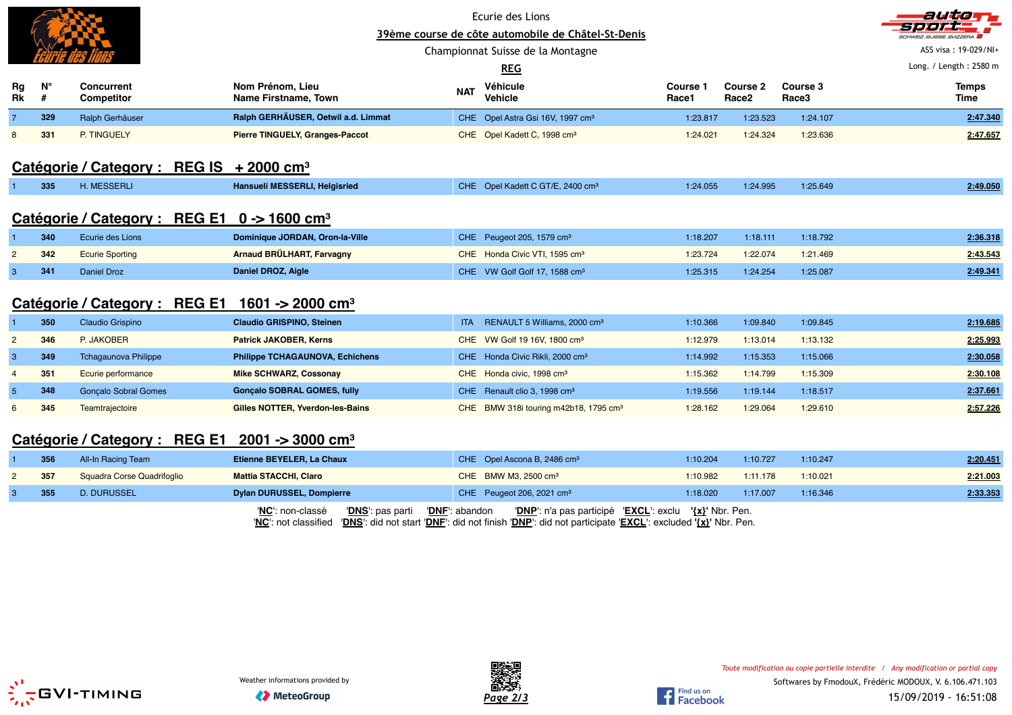|                |                  |                                                            | 39ème course de côte automobile de Châtel-St-Denis<br>Championnat Suisse de la Montagne | auto<br>CHWEIZ.SUISSE.SVIZZERA<br>ASS visa: 19-029/NI+<br>Long. / Length: 2580 m |                                                   |                   |                               |                   |                      |
|----------------|------------------|------------------------------------------------------------|-----------------------------------------------------------------------------------------|----------------------------------------------------------------------------------|---------------------------------------------------|-------------------|-------------------------------|-------------------|----------------------|
| Rg<br>Rk       | $N^{\circ}$<br># | <b>Concurrent</b><br><b>Competitor</b>                     | Nom Prénom, Lieu<br>Name Firstname, Town                                                | <b>NAT</b>                                                                       | Véhicule<br>Vehicle                               | Course 1<br>Race1 | Course 2<br>Race <sub>2</sub> | Course 3<br>Race3 | <b>Temps</b><br>Time |
| $\overline{7}$ | 329              | Ralph Gerhäuser                                            | Ralph GERHÄUSER, Oetwil a.d. Limmat                                                     |                                                                                  | CHE Opel Astra Gsi 16V, 1997 cm <sup>3</sup>      | 1:23.817          | 1:23.523                      | 1:24.107          | 2:47.340             |
| 8              | 331              | P. TINGUELY                                                | <b>Pierre TINGUELY, Granges-Paccot</b>                                                  |                                                                                  | CHE Opel Kadett C, 1998 cm <sup>3</sup>           | 1:24.021          | 1:24.324                      | 1:23.636          | 2:47.657             |
|                |                  | Catégorie / Category : REG IS + 2000 cm <sup>3</sup>       |                                                                                         |                                                                                  |                                                   |                   |                               |                   |                      |
|                | 335              | H. MESSERLI                                                | Hansueli MESSERLI, Helgisried                                                           |                                                                                  | CHE Opel Kadett C GT/E, 2400 cm <sup>3</sup>      | 1:24.055          | 1:24.995                      | 1:25.649          | 2:49.050             |
|                |                  | Catégorie / Category : REG E1 0 -> 1600 cm <sup>3</sup>    |                                                                                         |                                                                                  |                                                   |                   |                               |                   |                      |
|                | 340              | Ecurie des Lions                                           | Dominique JORDAN, Oron-la-Ville                                                         |                                                                                  | CHE Peugeot 205, 1579 cm <sup>3</sup>             | 1:18.207          | 1:18.111                      | 1:18.792          | 2:36.318             |
| $\overline{2}$ | 342              | <b>Ecurie Sporting</b>                                     | Arnaud BRÜLHART, Farvagny                                                               |                                                                                  | CHE Honda Civic VTI, 1595 cm <sup>3</sup>         | 1:23.724          | 1:22.074                      | 1:21.469          | 2:43.543             |
| 3              | 341              | Daniel Droz                                                | Daniel DROZ, Aigle                                                                      |                                                                                  | CHE VW Golf Golf 17, 1588 cm <sup>3</sup>         | 1:25.315          | 1:24.254                      | 1:25.087          | 2:49.341             |
|                |                  | Catégorie / Category : REG E1 1601 -> 2000 cm <sup>3</sup> |                                                                                         |                                                                                  |                                                   |                   |                               |                   |                      |
|                | 350              | Claudio Grispino                                           | <b>Claudio GRISPINO, Steinen</b>                                                        | <b>ITA</b>                                                                       | RENAULT 5 Williams, 2000 cm <sup>3</sup>          | 1:10.366          | 1:09.840                      | 1:09.845          | 2:19.685             |
| $\overline{2}$ | 346              | P. JAKOBER                                                 | <b>Patrick JAKOBER, Kerns</b>                                                           |                                                                                  | CHE VW Golf 19 16V, 1800 cm <sup>3</sup>          | 1:12.979          | 1:13.014                      | 1:13.132          | 2:25.993             |
| $\mathbf{3}$   | 349              | <b>Tchagaunova Philippe</b>                                | <b>Philippe TCHAGAUNOVA, Echichens</b>                                                  |                                                                                  | CHE Honda Civic Rikli, 2000 cm <sup>3</sup>       | 1:14.992          | 1:15.353                      | 1:15.066          | 2:30.058             |
| $\overline{4}$ | 351              | Ecurie performance                                         | <b>Mike SCHWARZ, Cossonay</b>                                                           |                                                                                  | CHE Honda civic, 1998 cm <sup>3</sup>             | 1:15.362          | 1:14.799                      | 1:15.309          | 2:30.108             |
| 5              | 348              | <b>Gonçalo Sobral Gomes</b>                                | <b>Gonçalo SOBRAL GOMES, fully</b>                                                      |                                                                                  | CHE Renault clio 3, 1998 cm <sup>3</sup>          | 1:19.556          | 1:19.144                      | 1:18.517          | 2:37.661             |
| 6              | 345              | Teamtrajectoire                                            | Gilles NOTTER, Yverdon-les-Bains                                                        |                                                                                  | CHE BMW 318i touring m42b18, 1795 cm <sup>3</sup> | 1:28.162          | 1:29.064                      | 1:29.610          | 2:57.226             |
|                |                  | Catégorie / Category : REG E1 2001 -> 3000 cm <sup>3</sup> |                                                                                         |                                                                                  |                                                   |                   |                               |                   |                      |
|                | 356              | All-In Racing Team                                         | Etienne BEYELER, La Chaux                                                               |                                                                                  | CHE Opel Ascona B, 2486 cm <sup>3</sup>           | 1:10.204          | 1:10.727                      | 1:10.247          | 2:20.451             |
| $\overline{2}$ | 357              | Squadra Corse Quadrifoglio                                 | <b>Mattia STACCHI, Claro</b>                                                            |                                                                                  | CHE BMW M3, 2500 cm <sup>3</sup>                  | 1:10.982          | 1:11.178                      | 1:10.021          | 2:21.003             |
| 3              | 355              | <b>D. DURUSSEL</b>                                         | <b>Dylan DURUSSEL, Dompierre</b>                                                        |                                                                                  | CHE Peugeot 206, 2021 cm <sup>3</sup>             | 1:18.020          | 1:17.007                      | 1:16.346          | 2:33.353             |

'**NC**': non-classé '**DNS**': pas parti '**DNF**': abandon '**DNP**': n'a pas participé '**EXCL**': exclu **'{x}'** Nbr. Pen. '**NC**': not classified '**DNS**': did not start '**DNF**': did not finish '**DNP**': did not participate '**EXCL**': excluded **'{x}'** Nbr. Pen.





Find us on<br>Facebook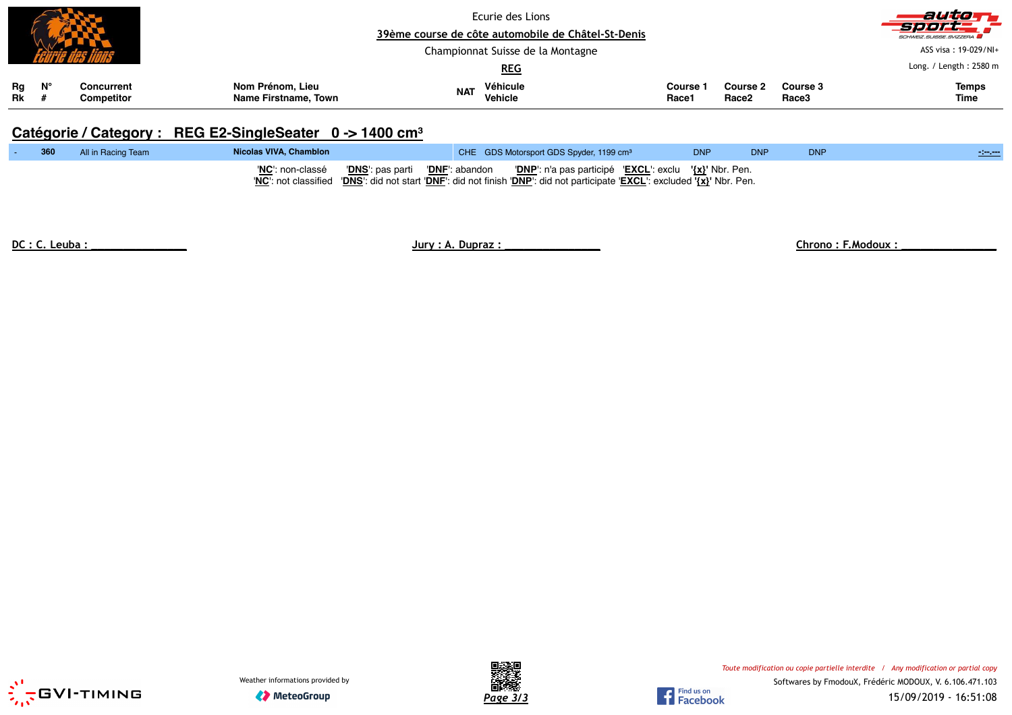|          |             |                          |                                          | Ecurie des Lions<br>39ème course de côte automobile de Châtel-St-Denis |                                   |                 |                                      |                   |                        |
|----------|-------------|--------------------------|------------------------------------------|------------------------------------------------------------------------|-----------------------------------|-----------------|--------------------------------------|-------------------|------------------------|
|          |             |                          |                                          |                                                                        | Championnat Suisse de la Montagne |                 |                                      |                   | ASS visa: 19-029/NI+   |
|          |             |                          |                                          |                                                                        | <u>REG</u>                        |                 |                                      |                   | Long. / Length: 2580 m |
| Rg<br>Rk | $N^{\circ}$ | Concurrent<br>Competitor | Nom Prénom, Lieu<br>Name Firstname, Town | <b>NAT</b>                                                             | Véhicule<br>Vehicle               | Course<br>Race1 | <b>Course 2</b><br>Race <sub>2</sub> | Course 3<br>Race3 | <b>Temps</b><br>Time   |

## **Catégorie / Category : REG E2-SingleSeater 0 -> 1400 cm<sup>³</sup>**

| 360 | All in Racing Team | Nicolas VIVA, Chamblon | CHE GDS Motorsport GDS Spyder, 1199 cm <sup>3</sup>                                                                                                                                                                                        | <b>DNP</b> | <b>DNP</b> | <b>DNF</b> | <b>Contractor</b> |
|-----|--------------------|------------------------|--------------------------------------------------------------------------------------------------------------------------------------------------------------------------------------------------------------------------------------------|------------|------------|------------|-------------------|
|     |                    |                        | "NC": non-classé "DNS": pas parti "DNF": abandon "DNP": n'a pas participé "EXCL": exclu $\{x\}$ " Nbr. Pen.<br>'NC': not classified 'DNS': did not start 'DNF': did not finish 'DNP': did not participate 'EXCL': excluded '{x}' Nbr. Pen. |            |            |            |                   |

-

**DC : C. Leuba : \_\_\_\_\_\_\_\_\_\_\_\_\_\_\_ Jury : A. Dupraz : \_\_\_\_\_\_\_\_\_\_\_\_\_\_\_ Chrono : F.Modoux : \_\_\_\_\_\_\_\_\_\_\_\_\_\_\_**





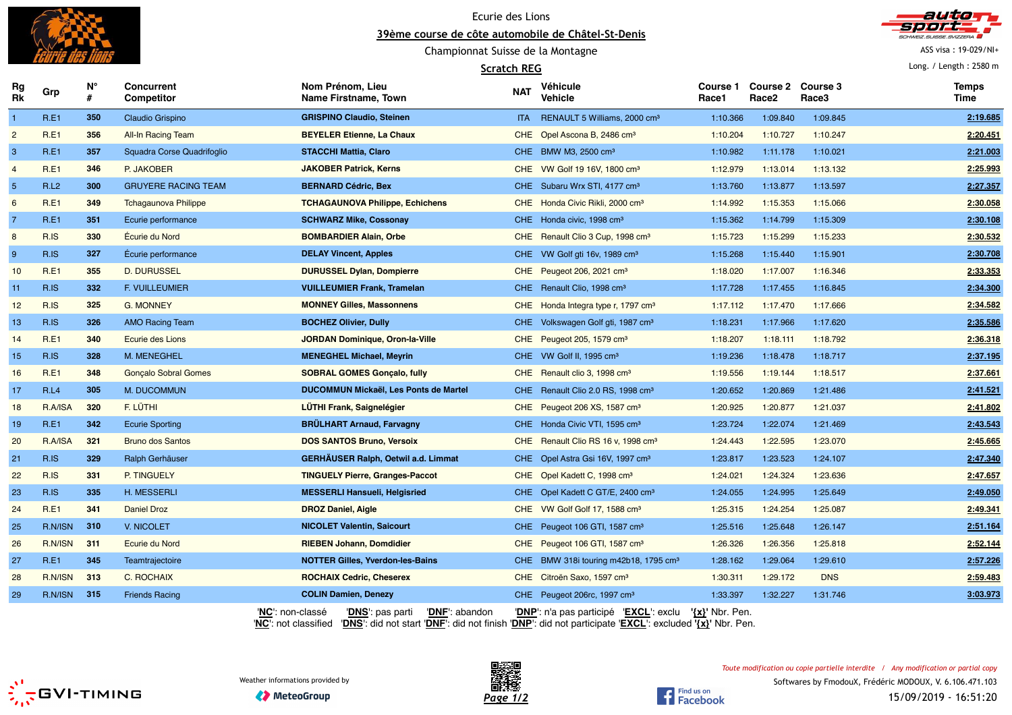

Ecurie des Lions **39ème course de côte automobile de Châtel-St-Denis**

Championnat Suisse de la Montagne

## **Scratch REG**



ASS visa : 19-029/NI+

Long. / Length : 2580 m

| Rg<br>Rk        | Grp         | N°<br># | <b>Concurrent</b><br><b>Competitor</b> | Nom Prénom, Lieu<br>Name Firstname, Town               | <b>NAT</b> | Véhicule<br>Vehicle                               | Course 1<br>Race1   | <b>Course 2</b><br>Race <sub>2</sub> | Course 3<br>Race3 | <b>Temps</b><br>Time |
|-----------------|-------------|---------|----------------------------------------|--------------------------------------------------------|------------|---------------------------------------------------|---------------------|--------------------------------------|-------------------|----------------------|
| $\overline{1}$  | R.E1        | 350     | Claudio Grispino                       | <b>GRISPINO Claudio, Steinen</b>                       | ITA -      | RENAULT 5 Williams, 2000 cm <sup>3</sup>          | 1:10.366            | 1:09.840                             | 1:09.845          | 2:19.685             |
| $\overline{2}$  | R.E1        | 356     | <b>All-In Racing Team</b>              | <b>BEYELER Etienne, La Chaux</b>                       |            | CHE Opel Ascona B, 2486 cm <sup>3</sup>           | 1:10.204            | 1:10.727                             | 1:10.247          | 2:20.451             |
| 3               | R.E1        | 357     | Squadra Corse Quadrifoglio             | <b>STACCHI Mattia, Claro</b>                           |            | CHE BMW M3, 2500 cm <sup>3</sup>                  | 1:10.982            | 1:11.178                             | 1:10.021          | 2:21.003             |
| $\overline{4}$  | R.E1        | 346     | P. JAKOBER                             | <b>JAKOBER Patrick, Kerns</b>                          |            | CHE VW Golf 19 16V, 1800 cm <sup>3</sup>          | 1:12.979            | 1:13.014                             | 1:13.132          | 2:25.993             |
| $5\phantom{.0}$ | <b>R.L2</b> | 300     | <b>GRUYERE RACING TEAM</b>             | <b>BERNARD Cédric, Bex</b>                             |            | CHE Subaru Wrx STI, 4177 cm <sup>3</sup>          | 1:13.760            | 1:13.877                             | 1:13.597          | 2:27.357             |
| 6               | R.E1        | 349     | <b>Tchagaunova Philippe</b>            | <b>TCHAGAUNOVA Philippe, Echichens</b>                 |            | CHE Honda Civic Rikli, 2000 cm <sup>3</sup>       | 1:14.992            | 1:15.353                             | 1:15.066          | 2:30.058             |
| $\overline{7}$  | R.E1        | 351     | Ecurie performance                     | <b>SCHWARZ Mike, Cossonay</b>                          |            | CHE Honda civic, 1998 cm <sup>3</sup>             | 1:15.362            | 1:14.799                             | 1:15.309          | 2:30.108             |
| 8               | R.IS        | 330     | Écurie du Nord                         | <b>BOMBARDIER Alain, Orbe</b>                          |            | CHE Renault Clio 3 Cup, 1998 cm <sup>3</sup>      | 1:15.723            | 1:15.299                             | 1:15.233          | 2:30.532             |
| 9               | R.IS        | 327     | Écurie performance                     | <b>DELAY Vincent, Apples</b>                           |            | CHE VW Golf gti 16v, 1989 cm <sup>3</sup>         | 1:15.268            | 1:15.440                             | 1:15.901          | 2:30.708             |
| 10              | R.E1        | 355     | <b>D. DURUSSEL</b>                     | <b>DURUSSEL Dylan, Dompierre</b>                       |            | CHE Peugeot 206, 2021 cm <sup>3</sup>             | 1:18.020            | 1:17.007                             | 1:16.346          | 2:33.353             |
| 11              | R.IS        | 332     | F. VUILLEUMIER                         | <b>VUILLEUMIER Frank, Tramelan</b>                     |            | CHE Renault Clio, 1998 cm <sup>3</sup>            | 1:17.728            | 1:17.455                             | 1:16.845          | 2:34.300             |
| 12              | R.IS        | 325     | <b>G. MONNEY</b>                       | <b>MONNEY Gilles, Massonnens</b>                       |            | CHE Honda Integra type r, 1797 cm <sup>3</sup>    | 1:17.112            | 1:17.470                             | 1:17.666          | 2:34.582             |
| 13              | R.IS        | 326     | <b>AMO Racing Team</b>                 | <b>BOCHEZ Olivier, Dully</b>                           |            | CHE Volkswagen Golf gti, 1987 cm <sup>3</sup>     | 1:18.231            | 1:17.966                             | 1:17.620          | 2:35.586             |
| 14              | R.E1        | 340     | Ecurie des Lions                       | <b>JORDAN Dominique, Oron-la-Ville</b>                 |            | CHE Peugeot 205, 1579 cm <sup>3</sup>             | 1:18.207            | 1:18.111                             | 1:18.792          | 2:36.318             |
| 15              | R.IS        | 328     | M. MENEGHEL                            | <b>MENEGHEL Michael, Meyrin</b>                        |            | CHE VW Golf II, 1995 cm <sup>3</sup>              | 1:19.236            | 1:18.478                             | 1:18.717          | 2:37.195             |
| 16              | R.E1        | 348     | <b>Gonçalo Sobral Gomes</b>            | <b>SOBRAL GOMES Gonçalo, fully</b>                     |            | CHE Renault clio 3, 1998 cm <sup>3</sup>          | 1:19.556            | 1:19.144                             | 1:18.517          | 2:37.661             |
| 17              | R.L4        | 305     | M. DUCOMMUN                            | <b>DUCOMMUN Mickaël, Les Ponts de Martel</b>           |            | CHE Renault Clio 2.0 RS, 1998 cm <sup>3</sup>     | 1:20.652            | 1:20.869                             | 1:21.486          | 2:41.521             |
| 18              | R.A/ISA     | 320     | F. LÜTHI                               | <b>LÜTHI Frank, Saignelégier</b>                       |            | CHE Peugeot 206 XS, 1587 cm <sup>3</sup>          | 1:20.925            | 1:20.877                             | 1:21.037          | 2:41.802             |
| 19              | R.E1        | 342     | <b>Ecurie Sporting</b>                 | <b>BRULHART Arnaud, Farvagny</b>                       |            | CHE Honda Civic VTI, 1595 cm <sup>3</sup>         | 1:23.724            | 1:22.074                             | 1:21.469          | 2:43.543             |
| 20              | R.A/ISA     | 321     | <b>Bruno dos Santos</b>                | <b>DOS SANTOS Bruno, Versoix</b>                       |            | CHE Renault Clio RS 16 v, 1998 cm <sup>3</sup>    | 1:24.443            | 1:22.595                             | 1:23.070          | 2:45.665             |
| 21              | R.IS        | 329     | Ralph Gerhäuser                        | <b>GERHÄUSER Ralph, Oetwil a.d. Limmat</b>             |            | CHE Opel Astra Gsi 16V, 1997 cm <sup>3</sup>      | 1:23.817            | 1:23.523                             | 1:24.107          | 2:47.340             |
| 22              | R.IS        | 331     | P. TINGUELY                            | <b>TINGUELY Pierre, Granges-Paccot</b>                 |            | CHE Opel Kadett C, 1998 cm <sup>3</sup>           | 1:24.021            | 1:24.324                             | 1:23.636          | 2:47.657             |
| 23              | R.IS        | 335     | H. MESSERLI                            | <b>MESSERLI Hansueli, Helgisried</b>                   |            | CHE Opel Kadett C GT/E, 2400 cm <sup>3</sup>      | 1:24.055            | 1:24.995                             | 1:25.649          | 2:49.050             |
| 24              | R.E1        | 341     | <b>Daniel Droz</b>                     | <b>DROZ Daniel, Aigle</b>                              |            | CHE VW Golf Golf 17, 1588 cm <sup>3</sup>         | 1:25.315            | 1:24.254                             | 1:25.087          | 2:49.341             |
| 25              | R.N/ISN     | 310     | V. NICOLET                             | <b>NICOLET Valentin, Saicourt</b>                      |            | CHE Peugeot 106 GTI, 1587 cm <sup>3</sup>         | 1:25.516            | 1:25.648                             | 1:26.147          | 2:51.164             |
| 26              | R.N/ISN     | 311     | Ecurie du Nord                         | <b>RIEBEN Johann, Domdidier</b>                        |            | CHE Peugeot 106 GTI, 1587 cm <sup>3</sup>         | 1:26.326            | 1:26.356                             | 1:25.818          | 2:52.144             |
| 27              | R.E1        | 345     | Teamtrajectoire                        | <b>NOTTER Gilles, Yverdon-les-Bains</b>                |            | CHE BMW 318i touring m42b18, 1795 cm <sup>3</sup> | 1:28.162            | 1:29.064                             | 1:29.610          | 2:57.226             |
| 28              | R.N/ISN     | 313     | C. ROCHAIX                             | <b>ROCHAIX Cedric, Cheserex</b>                        |            | CHE Citroën Saxo, 1597 cm <sup>3</sup>            | 1:30.311            | 1:29.172                             | <b>DNS</b>        | 2:59.483             |
| 29              | R.N/ISN     | 315     | <b>Friends Racing</b>                  | <b>COLIN Damien, Denezy</b>                            |            | CHE Peugeot 206rc, 1997 cm <sup>3</sup>           | 1:33.397            | 1:32.227                             | 1:31.746          | 3:03.973             |
|                 |             |         |                                        | 'NC': non-classé<br>'DNS': pas parti<br>'DNF': abandon |            | 'DNP': n'a pas participé 'EXCL': exclu            | $\{x\}$ ' Nbr. Pen. |                                      |                   |                      |

'**NC**': not classified '**DNS**': did not start '**DNF**': did not finish '**DNP**': did not participate '**EXCL**': excluded **'{x}'** Nbr. Pen.





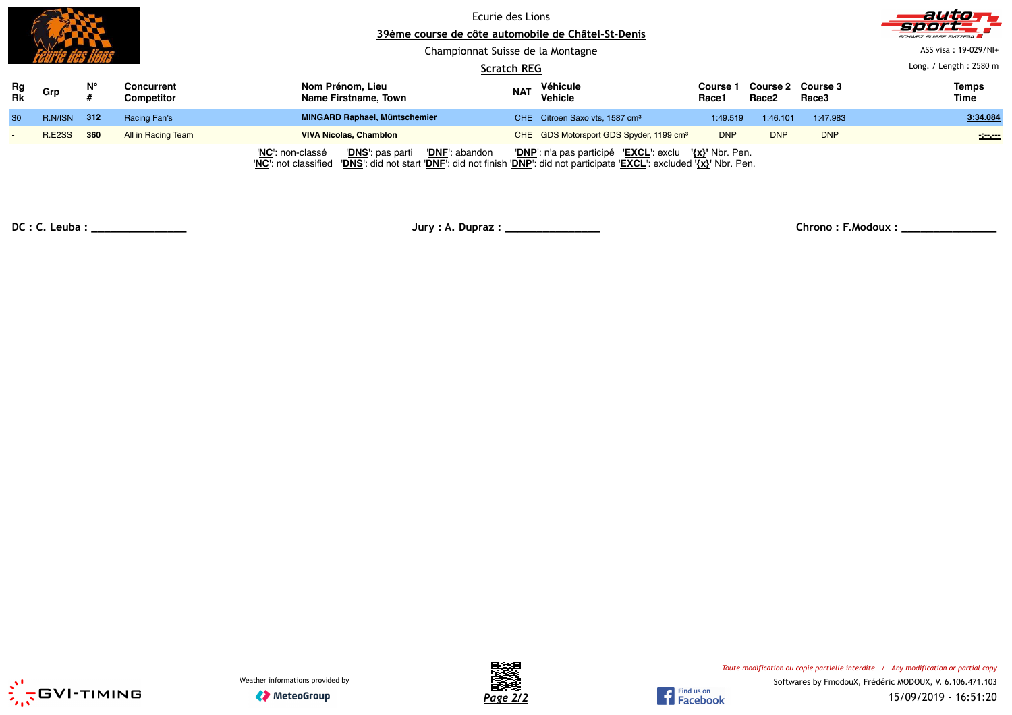|                 |         |     |                                 |                  | Ecurie des Lions<br>39ème course de côte automobile de Châtel-St-Denis<br>Championnat Suisse de la Montagne |                    |                                                        |                   |                                        |            | auto<br>Sport.<br>SCHWEIZ.SUISSE.SVIZZERA<br>ASS visa: 19-029/NI+ |
|-----------------|---------|-----|---------------------------------|------------------|-------------------------------------------------------------------------------------------------------------|--------------------|--------------------------------------------------------|-------------------|----------------------------------------|------------|-------------------------------------------------------------------|
|                 |         |     |                                 |                  |                                                                                                             | <b>Scratch REG</b> |                                                        |                   |                                        |            | Long. / Length: $2580$ m                                          |
| Rg<br><b>Rk</b> | Grp     | N°  | Concurrent<br><b>Competitor</b> | Nom Prénom, Lieu | Name Firstname, Town                                                                                        | <b>NAT</b>         | Véhicule<br><b>Vehicle</b>                             | Course 1<br>Race1 | Course 2 Course 3<br>Race <sub>2</sub> | Race3      | <b>Temps</b><br>Time                                              |
| 30              | R.N/ISN | 312 | Racing Fan's                    |                  | <b>MINGARD Raphael, Müntschemier</b>                                                                        |                    | CHE Citroen Saxo vts, 1587 cm <sup>3</sup>             | 1:49.519          | 1:46.101                               | 1:47.983   | 3:34.084                                                          |
|                 | R.E2SS  | 360 | All in Racing Team              |                  | <b>VIVA Nicolas, Chamblon</b>                                                                               |                    | CHE GDS Motorsport GDS Spyder, 1199 cm <sup>3</sup>    | <b>DNP</b>        | <b>DNP</b>                             | <b>DNP</b> | $\sim$                                                            |
|                 |         |     |                                 | 'NC': non-classé | 'DNF': abandon<br>'DNS': pas parti                                                                          |                    | 'DNP': n'a pas participé 'EXCL': exclu '{x}' Nbr. Pen. |                   |                                        |            |                                                                   |

'**NC**': not classified '**DNS**': did not start '**DNF**': did not finish '**DNP**': did not participate '**EXCL**': excluded **'{x}'** Nbr. Pen.

**DC : C. Leuba : \_\_\_\_\_\_\_\_\_\_\_\_\_\_\_ Jury : A. Dupraz : \_\_\_\_\_\_\_\_\_\_\_\_\_\_\_ Chrono : F.Modoux : \_\_\_\_\_\_\_\_\_\_\_\_\_\_\_**





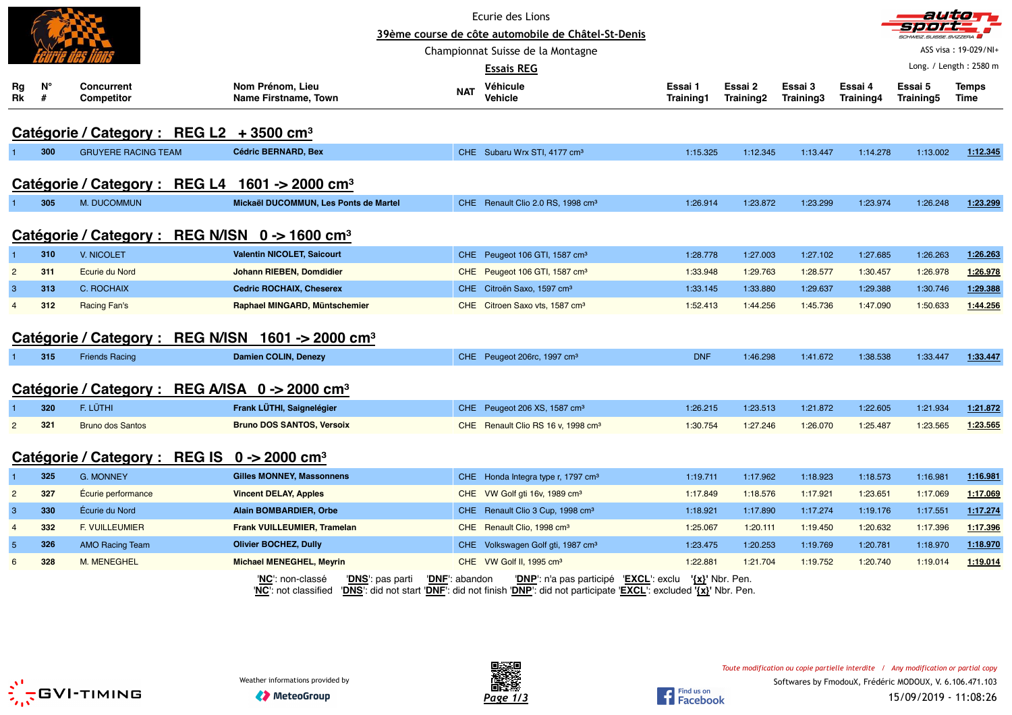|                |         |                                                                    |                                                                       |                | Ecurie des Lions                                                                                                                                 |                             |                      |                      |                      |                      | autom                  |
|----------------|---------|--------------------------------------------------------------------|-----------------------------------------------------------------------|----------------|--------------------------------------------------------------------------------------------------------------------------------------------------|-----------------------------|----------------------|----------------------|----------------------|----------------------|------------------------|
|                |         |                                                                    |                                                                       |                | 39ème course de côte automobile de Châtel-St-Denis                                                                                               |                             |                      |                      |                      |                      |                        |
|                |         |                                                                    |                                                                       |                | Championnat Suisse de la Montagne                                                                                                                |                             |                      |                      |                      |                      | ASS visa: 19-029/NI+   |
|                |         |                                                                    |                                                                       |                | <b>Essais REG</b>                                                                                                                                |                             |                      |                      |                      |                      | Long. / Length: 2580 m |
| Rg<br>Rk       | N°<br># | <b>Concurrent</b><br><b>Competitor</b>                             | Nom Prénom, Lieu<br>Name Firstname, Town                              | <b>NAT</b>     | Véhicule<br><b>Vehicle</b>                                                                                                                       | Essai 1<br><b>Training1</b> | Essai 2<br>Training2 | Essai 3<br>Training3 | Essai 4<br>Training4 | Essai 5<br>Training5 | Temps<br>Time          |
|                |         | Catégorie / Category : REG L2 + 3500 cm <sup>3</sup>               |                                                                       |                |                                                                                                                                                  |                             |                      |                      |                      |                      |                        |
|                | 300     | <b>GRUYERE RACING TEAM</b>                                         | <b>Cédric BERNARD, Bex</b>                                            |                | CHE Subaru Wrx STI, 4177 cm <sup>3</sup>                                                                                                         | 1:15.325                    | 1:12.345             | 1:13.447             | 1:14.278             | 1:13.002             | 1:12.345               |
|                |         | Catégorie / Category : REG L4 1601 -> 2000 cm <sup>3</sup>         |                                                                       |                |                                                                                                                                                  |                             |                      |                      |                      |                      |                        |
|                |         |                                                                    |                                                                       |                |                                                                                                                                                  |                             |                      |                      |                      |                      |                        |
|                | 305     | <b>M. DUCOMMUN</b>                                                 | Mickaël DUCOMMUN, Les Ponts de Martel                                 |                | CHE Renault Clio 2.0 RS, 1998 cm <sup>3</sup>                                                                                                    | 1:26.914                    | 1:23.872             | 1:23.299             | 1:23.974             | 1:26.248             | 1:23.299               |
|                |         | Catégorie / Category : REG N/ISN 0 -> 1600 cm <sup>3</sup>         |                                                                       |                |                                                                                                                                                  |                             |                      |                      |                      |                      |                        |
|                | 310     | V. NICOLET                                                         | <b>Valentin NICOLET, Saicourt</b>                                     |                | CHE Peugeot 106 GTI, 1587 cm <sup>3</sup>                                                                                                        | 1:28.778                    | 1:27.003             | 1:27.102             | 1:27.685             | 1:26.263             | 1:26.263               |
| $\overline{2}$ | 311     | <b>Ecurie du Nord</b>                                              | Johann RIEBEN, Domdidier                                              |                | CHE Peugeot 106 GTI, 1587 cm <sup>3</sup>                                                                                                        | 1:33.948                    | 1:29.763             | 1:28.577             | 1:30.457             | 1:26.978             | 1:26.978               |
| 3              | 313     | C. ROCHAIX                                                         | <b>Cedric ROCHAIX, Cheserex</b>                                       |                | CHE Citroën Saxo, 1597 cm <sup>3</sup>                                                                                                           | 1:33.145                    | 1:33.880             | 1:29.637             | 1:29.388             | 1:30.746             | 1:29.388               |
| $\overline{4}$ | 312     | Racing Fan's                                                       | Raphael MINGARD, Müntschemier                                         |                | CHE Citroen Saxo vts, 1587 cm <sup>3</sup>                                                                                                       | 1:52.413                    | 1:44.256             | 1:45.736             | 1:47.090             | 1:50.633             | 1:44.256               |
|                |         | Catégorie / Category : REG N/ISN 1601 -> 2000 cm <sup>3</sup>      |                                                                       |                |                                                                                                                                                  |                             |                      |                      |                      |                      |                        |
|                | 315     | <b>Friends Racing</b>                                              | Damien COLIN, Denezy                                                  |                | CHE Peugeot 206rc, 1997 cm <sup>3</sup>                                                                                                          | <b>DNF</b>                  | 1:46.298             | 1:41.672             | 1:38.538             | 1:33.447             | 1:33.447               |
|                |         | Catégorie / Category : REG A/ISA 0 -> 2000 cm <sup>3</sup>         |                                                                       |                |                                                                                                                                                  |                             |                      |                      |                      |                      |                        |
|                | 320     | F. LÜTHI                                                           | Frank LÜTHI, Saignelégier                                             |                | CHE Peugeot 206 XS, 1587 cm <sup>3</sup>                                                                                                         | 1:26.215                    | 1:23.513             | 1:21.872             | 1:22.605             | 1:21.934             | 1:21.872               |
| $\overline{2}$ | 321     | <b>Bruno dos Santos</b>                                            | <b>Bruno DOS SANTOS, Versoix</b>                                      |                | CHE Renault Clio RS 16 v, 1998 cm <sup>3</sup>                                                                                                   | 1:30.754                    | 1:27.246             | 1:26.070             | 1:25.487             | 1:23.565             | 1:23.565               |
|                |         | Catégorie / Category : REG IS $0 \rightarrow 2000$ cm <sup>3</sup> |                                                                       |                |                                                                                                                                                  |                             |                      |                      |                      |                      |                        |
|                | 325     | <b>G. MONNEY</b>                                                   | <b>Gilles MONNEY, Massonnens</b>                                      |                | CHE Honda Integra type r, 1797 cm <sup>3</sup>                                                                                                   | 1:19.711                    | 1:17.962             | 1:18.923             | 1:18.573             | 1:16.981             | 1:16.981               |
| $\overline{2}$ | 327     | Écurie performance                                                 | <b>Vincent DELAY, Apples</b>                                          |                | CHE VW Golf gti 16v, 1989 cm <sup>3</sup>                                                                                                        | 1:17.849                    | 1:18.576             | 1:17.921             | 1:23.651             | 1:17.069             | 1:17.069               |
| 3              | 330     | Écurie du Nord                                                     | <b>Alain BOMBARDIER, Orbe</b>                                         |                | CHE Renault Clio 3 Cup, 1998 cm <sup>3</sup>                                                                                                     | 1:18.921                    | 1:17.890             | 1:17.274             | 1:19.176             | 1:17.551             | 1:17.274               |
| $\overline{4}$ | 332     | F. VUILLEUMIER                                                     | <b>Frank VUILLEUMIER, Tramelan</b>                                    |                | CHE Renault Clio, 1998 cm <sup>3</sup>                                                                                                           | 1:25.067                    | 1:20.111             | 1:19.450             | 1:20.632             | 1:17.396             | 1:17.396               |
| $\sqrt{5}$     | 326     | <b>AMO Racing Team</b>                                             | <b>Olivier BOCHEZ, Dully</b>                                          |                | CHE Volkswagen Golf gti, 1987 cm <sup>3</sup>                                                                                                    | 1:23.475                    | 1:20.253             | 1:19.769             | 1:20.781             | 1:18.970             | 1:18.970               |
| 6              | 328     | M. MENEGHEL                                                        | <b>Michael MENEGHEL, Meyrin</b>                                       |                | CHE VW Golf II, 1995 cm <sup>3</sup>                                                                                                             | 1:22.881                    | 1:21.704             | 1:19.752             | 1:20.740             | 1:19.014             | 1:19.014               |
|                |         |                                                                    | 'NC': non-classé<br>' <b>DNS</b> ': pas parti<br>'NC': not classified | 'DNF': abandon | 'DNP': n'a pas participé 'EXCL': exclu<br>'DNS': did not start 'DNF': did not finish 'DNP': did not participate 'EXCL': excluded '{x}' Nbr. Pen. | $\{x\}$ ' Nbr. Pen.         |                      |                      |                      |                      |                        |



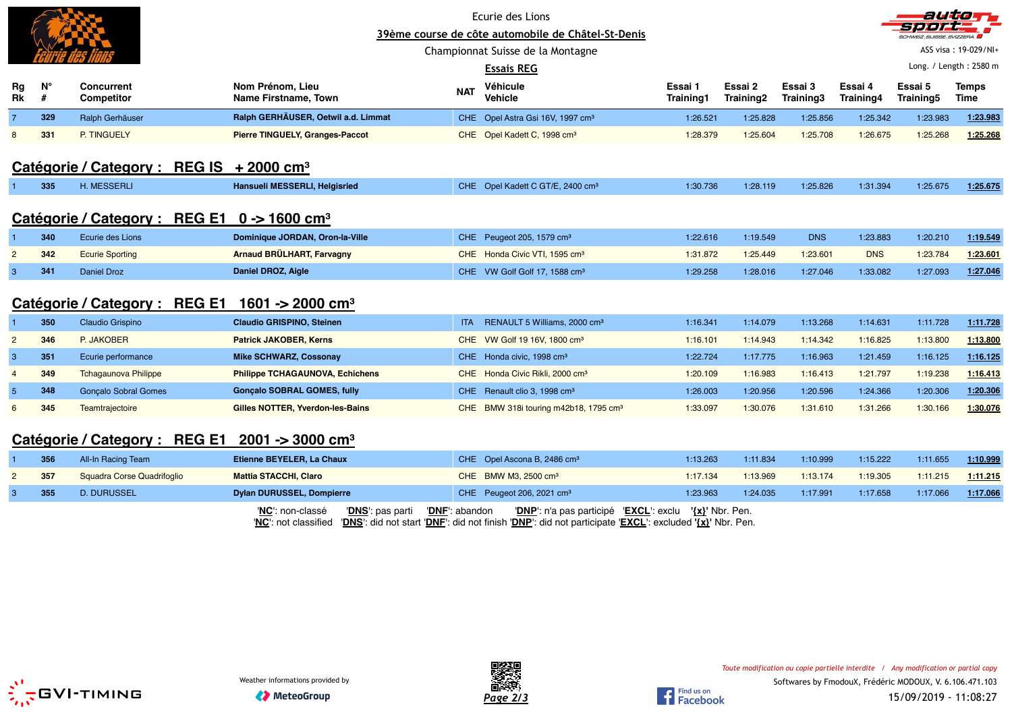|    |     |                                                            | Ecurie des Lions<br>39ème course de côte automobile de Châtel-St-Denis<br>Championnat Suisse de la Montagne |                |                                                   |                       |           |            |            | autro                             | ASS visa: 19-029/NI+ |
|----|-----|------------------------------------------------------------|-------------------------------------------------------------------------------------------------------------|----------------|---------------------------------------------------|-----------------------|-----------|------------|------------|-----------------------------------|----------------------|
| Rg | N°  | <b>Concurrent</b>                                          | Nom Prénom, Lieu                                                                                            |                | <b>Essais REG</b><br>Véhicule                     | Essai 1               | Essai 2   | Essai 3    | Essai 4    | Long. / Length: 2580 m<br>Essai 5 | <b>Temps</b>         |
| Rk | #   | Competitor                                                 | Name Firstname, Town                                                                                        | <b>NAT</b>     | Vehicle                                           | Training1             | Training2 | Training3  | Training4  | Training5                         | Time                 |
|    | 329 | Ralph Gerhäuser                                            | Ralph GERHÄUSER, Oetwil a.d. Limmat                                                                         |                | CHE Opel Astra Gsi 16V, 1997 cm <sup>3</sup>      | 1:26.521              | 1:25.828  | 1:25.856   | 1:25.342   | 1:23.983                          | 1:23.983             |
|    | 331 | P. TINGUELY                                                | <b>Pierre TINGUELY, Granges-Paccot</b>                                                                      |                | CHE Opel Kadett C, 1998 cm <sup>3</sup>           | 1:28.379              | 1:25.604  | 1:25.708   | 1:26.675   | 1:25.268                          | 1:25.268             |
|    |     | Catégorie / Category : REG IS $+2000$ cm <sup>3</sup>      |                                                                                                             |                |                                                   |                       |           |            |            |                                   |                      |
|    | 335 | <b>H. MESSERLI</b>                                         | Hansueli MESSERLI, Helgisried                                                                               |                | CHE Opel Kadett C GT/E, 2400 cm <sup>3</sup>      | 1:30.736              | 1:28.119  | 1:25.826   | 1:31.394   | 1:25.675                          | 1:25.675             |
|    |     | <b>Catégorie / Category:</b><br><b>REG E1</b>              | 0 -> 1600 cm <sup>3</sup>                                                                                   |                |                                                   |                       |           |            |            |                                   |                      |
|    | 340 | Ecurie des Lions                                           | Dominique JORDAN, Oron-la-Ville                                                                             |                | CHE Peugeot 205, 1579 cm <sup>3</sup>             | 1:22.616              | 1:19.549  | <b>DNS</b> | 1:23.883   | 1:20.210                          | 1:19.549             |
|    | 342 | <b>Ecurie Sporting</b>                                     | Arnaud BRÜLHART, Farvagny                                                                                   |                | CHE Honda Civic VTI, 1595 cm <sup>3</sup>         | 1:31.872              | 1:25.449  | 1:23.601   | <b>DNS</b> | 1:23.784                          | 1:23.601             |
| 3  | 341 | Daniel Droz                                                | Daniel DROZ, Aigle                                                                                          |                | CHE VW Golf Golf 17, 1588 cm <sup>3</sup>         | 1:29.258              | 1:28.016  | 1:27.046   | 1:33.082   | 1:27.093                          | 1:27.046             |
|    |     | Catégorie / Category : REG E1 1601 -> 2000 cm <sup>3</sup> |                                                                                                             |                |                                                   |                       |           |            |            |                                   |                      |
|    | 350 | Claudio Grispino                                           | <b>Claudio GRISPINO, Steinen</b>                                                                            | ITA.           | RENAULT 5 Williams, 2000 cm <sup>3</sup>          | 1:16.341              | 1:14.079  | 1:13.268   | 1:14.631   | 1:11.728                          | 1:11.728             |
| 2  | 346 | P. JAKOBER                                                 | <b>Patrick JAKOBER, Kerns</b>                                                                               |                | CHE VW Golf 19 16V, 1800 cm <sup>3</sup>          | 1:16.101              | 1:14.943  | 1:14.342   | 1:16.825   | 1:13.800                          | 1:13.800             |
| 3  | 351 | Ecurie performance                                         | <b>Mike SCHWARZ, Cossonay</b>                                                                               |                | CHE Honda civic, 1998 cm <sup>3</sup>             | 1:22.724              | 1:17.775  | 1:16.963   | 1:21.459   | 1:16.125                          | 1:16.125             |
|    | 349 | <b>Tchagaunova Philippe</b>                                | <b>Philippe TCHAGAUNOVA, Echichens</b>                                                                      |                | CHE Honda Civic Rikli, 2000 cm <sup>3</sup>       | 1:20.109              | 1:16.983  | 1:16.413   | 1:21.797   | 1:19.238                          | 1:16.413             |
|    | 348 | <b>Gonçalo Sobral Gomes</b>                                | <b>Gonçalo SOBRAL GOMES, fully</b>                                                                          |                | CHE Renault clio 3, 1998 cm <sup>3</sup>          | 1:26.003              | 1:20.956  | 1:20.596   | 1:24.366   | 1:20.306                          | 1:20.306             |
|    | 345 | Teamtrajectoire                                            | Gilles NOTTER, Yverdon-les-Bains                                                                            |                | CHE BMW 318i touring m42b18, 1795 cm <sup>3</sup> | 1:33.097              | 1:30.076  | 1:31.610   | 1:31.266   | 1:30.166                          | 1:30.076             |
|    |     | Catégorie / Category : REG E1                              | $2001 - 3000$ cm <sup>3</sup>                                                                               |                |                                                   |                       |           |            |            |                                   |                      |
|    | 356 | All-In Racing Team                                         | Etienne BEYELER, La Chaux                                                                                   |                | CHE Opel Ascona B, 2486 cm <sup>3</sup>           | 1:13.263              | 1:11.834  | 1:10.999   | 1:15.222   | 1:11.655                          | 1:10.999             |
|    | 357 | Squadra Corse Quadrifoglio                                 | <b>Mattia STACCHI, Claro</b>                                                                                |                | CHE BMW M3, 2500 cm <sup>3</sup>                  | 1:17.134              | 1:13.969  | 1:13.174   | 1:19.305   | 1:11.215                          | 1:11.215             |
|    | 355 | <b>D. DURUSSEL</b>                                         | <b>Dylan DURUSSEL, Dompierre</b>                                                                            |                | CHE Peugeot 206, 2021 cm <sup>3</sup>             | 1:23.963              | 1:24.035  | 1:17.991   | 1:17.658   | 1:17.066                          | 1:17.066             |
|    |     |                                                            | 'DNS': pas parti<br>'NC': non-classé                                                                        | 'DNF': abandon | 'DNP': n'a pas participé 'EXCL': exclu            | ' $\{x\}$ ' Nbr. Pen. |           |            |            |                                   |                      |

'**NC**': not classified '**DNS**': did not start '**DNF**': did not finish '**DNP**': did not participate '**EXCL**': excluded **'{x}'** Nbr. Pen.





Find us on<br>Facebook